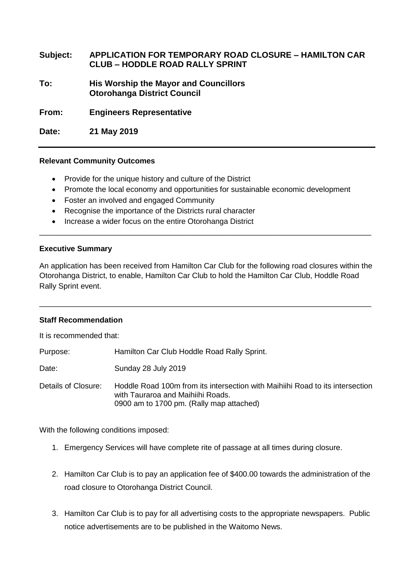**Subject: APPLICATION FOR TEMPORARY ROAD CLOSURE – HAMILTON CAR CLUB – HODDLE ROAD RALLY SPRINT**

**To: His Worship the Mayor and Councillors Otorohanga District Council**

**From: Engineers Representative** 

**Date: 21 May 2019**

## **Relevant Community Outcomes**

- Provide for the unique history and culture of the District
- Promote the local economy and opportunities for sustainable economic development
- Foster an involved and engaged Community
- Recognise the importance of the Districts rural character
- Increase a wider focus on the entire Otorohanga District

## **Executive Summary**

An application has been received from Hamilton Car Club for the following road closures within the Otorohanga District, to enable, Hamilton Car Club to hold the Hamilton Car Club, Hoddle Road Rally Sprint event.

\_\_\_\_\_\_\_\_\_\_\_\_\_\_\_\_\_\_\_\_\_\_\_\_\_\_\_\_\_\_\_\_\_\_\_\_\_\_\_\_\_\_\_\_\_\_\_\_\_\_\_\_\_\_\_\_\_\_\_\_\_\_\_\_\_\_\_\_\_\_\_\_\_\_\_\_\_\_

\_\_\_\_\_\_\_\_\_\_\_\_\_\_\_\_\_\_\_\_\_\_\_\_\_\_\_\_\_\_\_\_\_\_\_\_\_\_\_\_\_\_\_\_\_\_\_\_\_\_\_\_\_\_\_\_\_\_\_\_\_\_\_\_\_\_\_\_\_\_\_\_\_\_\_\_\_\_

## **Staff Recommendation**

It is recommended that:

Purpose: Hamilton Car Club Hoddle Road Rally Sprint.

Date: Sunday 28 July 2019

Details of Closure: Hoddle Road 100m from its intersection with Maihiihi Road to its intersection with Tauraroa and Maihiihi Roads. 0900 am to 1700 pm. (Rally map attached)

With the following conditions imposed:

- 1. Emergency Services will have complete rite of passage at all times during closure.
- 2. Hamilton Car Club is to pay an application fee of \$400.00 towards the administration of the road closure to Otorohanga District Council.
- 3. Hamilton Car Club is to pay for all advertising costs to the appropriate newspapers. Public notice advertisements are to be published in the Waitomo News.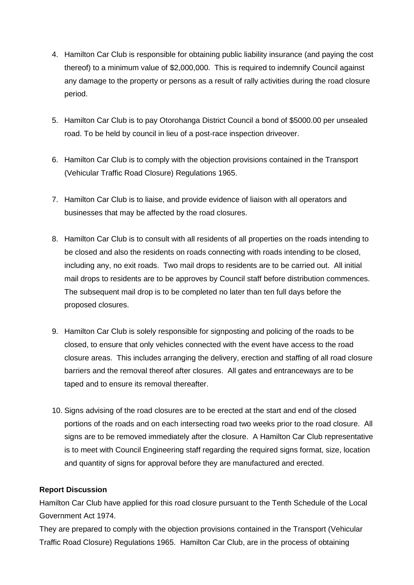- 4. Hamilton Car Club is responsible for obtaining public liability insurance (and paying the cost thereof) to a minimum value of \$2,000,000. This is required to indemnify Council against any damage to the property or persons as a result of rally activities during the road closure period.
- 5. Hamilton Car Club is to pay Otorohanga District Council a bond of \$5000.00 per unsealed road. To be held by council in lieu of a post-race inspection driveover.
- 6. Hamilton Car Club is to comply with the objection provisions contained in the Transport (Vehicular Traffic Road Closure) Regulations 1965.
- 7. Hamilton Car Club is to liaise, and provide evidence of liaison with all operators and businesses that may be affected by the road closures.
- 8. Hamilton Car Club is to consult with all residents of all properties on the roads intending to be closed and also the residents on roads connecting with roads intending to be closed, including any, no exit roads. Two mail drops to residents are to be carried out. All initial mail drops to residents are to be approves by Council staff before distribution commences. The subsequent mail drop is to be completed no later than ten full days before the proposed closures.
- 9. Hamilton Car Club is solely responsible for signposting and policing of the roads to be closed, to ensure that only vehicles connected with the event have access to the road closure areas. This includes arranging the delivery, erection and staffing of all road closure barriers and the removal thereof after closures. All gates and entranceways are to be taped and to ensure its removal thereafter.
- 10. Signs advising of the road closures are to be erected at the start and end of the closed portions of the roads and on each intersecting road two weeks prior to the road closure. All signs are to be removed immediately after the closure. A Hamilton Car Club representative is to meet with Council Engineering staff regarding the required signs format, size, location and quantity of signs for approval before they are manufactured and erected.

## **Report Discussion**

Hamilton Car Club have applied for this road closure pursuant to the Tenth Schedule of the Local Government Act 1974.

They are prepared to comply with the objection provisions contained in the Transport (Vehicular Traffic Road Closure) Regulations 1965. Hamilton Car Club, are in the process of obtaining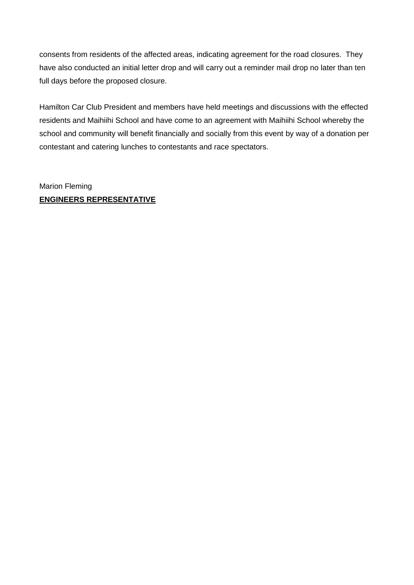consents from residents of the affected areas, indicating agreement for the road closures. They have also conducted an initial letter drop and will carry out a reminder mail drop no later than ten full days before the proposed closure.

Hamilton Car Club President and members have held meetings and discussions with the effected residents and Maihiihi School and have come to an agreement with Maihiihi School whereby the school and community will benefit financially and socially from this event by way of a donation per contestant and catering lunches to contestants and race spectators.

Marion Fleming **ENGINEERS REPRESENTATIVE**